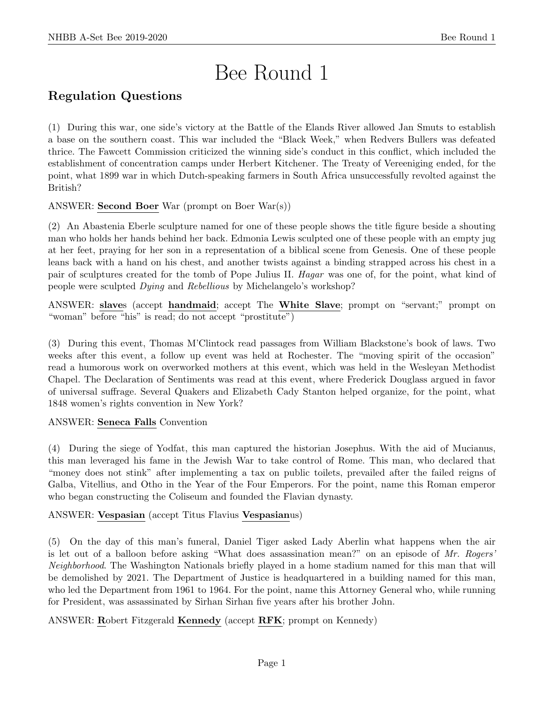# Bee Round 1

## Regulation Questions

(1) During this war, one side's victory at the Battle of the Elands River allowed Jan Smuts to establish a base on the southern coast. This war included the "Black Week," when Redvers Bullers was defeated thrice. The Fawcett Commission criticized the winning side's conduct in this conflict, which included the establishment of concentration camps under Herbert Kitchener. The Treaty of Vereeniging ended, for the point, what 1899 war in which Dutch-speaking farmers in South Africa unsuccessfully revolted against the British?

ANSWER: Second Boer War (prompt on Boer War(s))

(2) An Abastenia Eberle sculpture named for one of these people shows the title figure beside a shouting man who holds her hands behind her back. Edmonia Lewis sculpted one of these people with an empty jug at her feet, praying for her son in a representation of a biblical scene from Genesis. One of these people leans back with a hand on his chest, and another twists against a binding strapped across his chest in a pair of sculptures created for the tomb of Pope Julius II. Hagar was one of, for the point, what kind of people were sculpted Dying and Rebellious by Michelangelo's workshop?

ANSWER: slaves (accept handmaid; accept The White Slave; prompt on "servant;" prompt on "woman" before "his" is read; do not accept "prostitute")

(3) During this event, Thomas M'Clintock read passages from William Blackstone's book of laws. Two weeks after this event, a follow up event was held at Rochester. The "moving spirit of the occasion" read a humorous work on overworked mothers at this event, which was held in the Wesleyan Methodist Chapel. The Declaration of Sentiments was read at this event, where Frederick Douglass argued in favor of universal suffrage. Several Quakers and Elizabeth Cady Stanton helped organize, for the point, what 1848 women's rights convention in New York?

#### ANSWER: Seneca Falls Convention

(4) During the siege of Yodfat, this man captured the historian Josephus. With the aid of Mucianus, this man leveraged his fame in the Jewish War to take control of Rome. This man, who declared that "money does not stink" after implementing a tax on public toilets, prevailed after the failed reigns of Galba, Vitellius, and Otho in the Year of the Four Emperors. For the point, name this Roman emperor who began constructing the Coliseum and founded the Flavian dynasty.

ANSWER: Vespasian (accept Titus Flavius Vespasianus)

(5) On the day of this man's funeral, Daniel Tiger asked Lady Aberlin what happens when the air is let out of a balloon before asking "What does assassination mean?" on an episode of Mr. Rogers' Neighborhood. The Washington Nationals briefly played in a home stadium named for this man that will be demolished by 2021. The Department of Justice is headquartered in a building named for this man, who led the Department from 1961 to 1964. For the point, name this Attorney General who, while running for President, was assassinated by Sirhan Sirhan five years after his brother John.

ANSWER: Robert Fitzgerald Kennedy (accept RFK; prompt on Kennedy)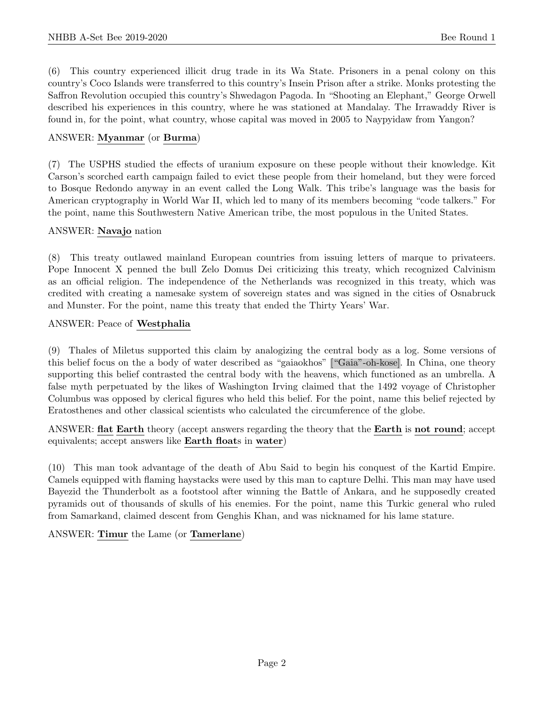(6) This country experienced illicit drug trade in its Wa State. Prisoners in a penal colony on this country's Coco Islands were transferred to this country's Insein Prison after a strike. Monks protesting the Saffron Revolution occupied this country's Shwedagon Pagoda. In "Shooting an Elephant," George Orwell described his experiences in this country, where he was stationed at Mandalay. The Irrawaddy River is found in, for the point, what country, whose capital was moved in 2005 to Naypyidaw from Yangon?

#### ANSWER: Myanmar (or Burma)

(7) The USPHS studied the effects of uranium exposure on these people without their knowledge. Kit Carson's scorched earth campaign failed to evict these people from their homeland, but they were forced to Bosque Redondo anyway in an event called the Long Walk. This tribe's language was the basis for American cryptography in World War II, which led to many of its members becoming "code talkers." For the point, name this Southwestern Native American tribe, the most populous in the United States.

#### ANSWER: Navajo nation

(8) This treaty outlawed mainland European countries from issuing letters of marque to privateers. Pope Innocent X penned the bull Zelo Domus Dei criticizing this treaty, which recognized Calvinism as an official religion. The independence of the Netherlands was recognized in this treaty, which was credited with creating a namesake system of sovereign states and was signed in the cities of Osnabruck and Munster. For the point, name this treaty that ended the Thirty Years' War.

#### ANSWER: Peace of Westphalia

(9) Thales of Miletus supported this claim by analogizing the central body as a log. Some versions of this belief focus on the a body of water described as "gaiaokhos" ["Gaia"-oh-kose]. In China, one theory supporting this belief contrasted the central body with the heavens, which functioned as an umbrella. A false myth perpetuated by the likes of Washington Irving claimed that the 1492 voyage of Christopher Columbus was opposed by clerical figures who held this belief. For the point, name this belief rejected by Eratosthenes and other classical scientists who calculated the circumference of the globe.

ANSWER: flat Earth theory (accept answers regarding the theory that the Earth is not round; accept equivalents; accept answers like Earth floats in water)

(10) This man took advantage of the death of Abu Said to begin his conquest of the Kartid Empire. Camels equipped with flaming haystacks were used by this man to capture Delhi. This man may have used Bayezid the Thunderbolt as a footstool after winning the Battle of Ankara, and he supposedly created pyramids out of thousands of skulls of his enemies. For the point, name this Turkic general who ruled from Samarkand, claimed descent from Genghis Khan, and was nicknamed for his lame stature.

#### ANSWER: Timur the Lame (or Tamerlane)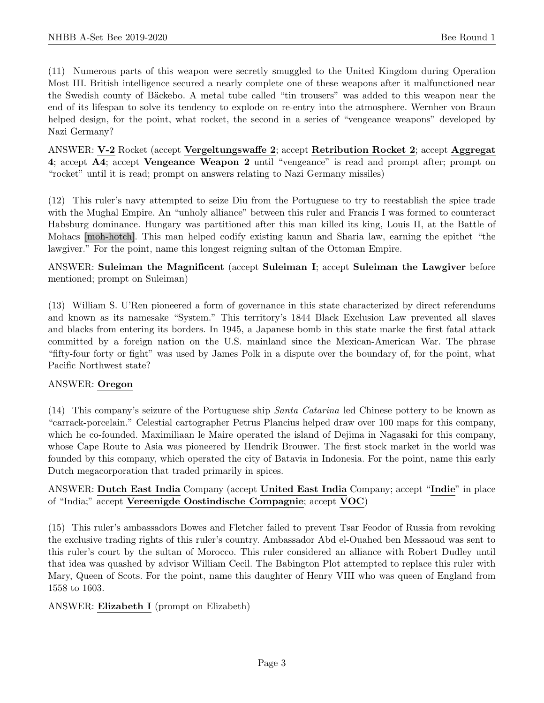(11) Numerous parts of this weapon were secretly smuggled to the United Kingdom during Operation Most III. British intelligence secured a nearly complete one of these weapons after it malfunctioned near the Swedish county of Bäckebo. A metal tube called "tin trousers" was added to this weapon near the end of its lifespan to solve its tendency to explode on re-entry into the atmosphere. Wernher von Braun helped design, for the point, what rocket, the second in a series of "vengeance weapons" developed by Nazi Germany?

ANSWER: V-2 Rocket (accept Vergeltungswaffe 2; accept Retribution Rocket 2; accept Aggregat 4; accept A4; accept Vengeance Weapon 2 until "vengeance" is read and prompt after; prompt on "rocket" until it is read; prompt on answers relating to Nazi Germany missiles)

(12) This ruler's navy attempted to seize Diu from the Portuguese to try to reestablish the spice trade with the Mughal Empire. An "unholy alliance" between this ruler and Francis I was formed to counteract Habsburg dominance. Hungary was partitioned after this man killed its king, Louis II, at the Battle of Mohacs [moh-hotch]. This man helped codify existing kanun and Sharia law, earning the epithet "the lawgiver." For the point, name this longest reigning sultan of the Ottoman Empire.

#### ANSWER: Suleiman the Magnificent (accept Suleiman I; accept Suleiman the Lawgiver before mentioned; prompt on Suleiman)

(13) William S. U'Ren pioneered a form of governance in this state characterized by direct referendums and known as its namesake "System." This territory's 1844 Black Exclusion Law prevented all slaves and blacks from entering its borders. In 1945, a Japanese bomb in this state marke the first fatal attack committed by a foreign nation on the U.S. mainland since the Mexican-American War. The phrase "fifty-four forty or fight" was used by James Polk in a dispute over the boundary of, for the point, what Pacific Northwest state?

#### ANSWER: Oregon

(14) This company's seizure of the Portuguese ship Santa Catarina led Chinese pottery to be known as "carrack-porcelain." Celestial cartographer Petrus Plancius helped draw over 100 maps for this company, which he co-founded. Maximiliaan le Maire operated the island of Dejima in Nagasaki for this company, whose Cape Route to Asia was pioneered by Hendrik Brouwer. The first stock market in the world was founded by this company, which operated the city of Batavia in Indonesia. For the point, name this early Dutch megacorporation that traded primarily in spices.

#### ANSWER: Dutch East India Company (accept United East India Company; accept "Indie" in place of "India;" accept Vereenigde Oostindische Compagnie; accept VOC)

(15) This ruler's ambassadors Bowes and Fletcher failed to prevent Tsar Feodor of Russia from revoking the exclusive trading rights of this ruler's country. Ambassador Abd el-Ouahed ben Messaoud was sent to this ruler's court by the sultan of Morocco. This ruler considered an alliance with Robert Dudley until that idea was quashed by advisor William Cecil. The Babington Plot attempted to replace this ruler with Mary, Queen of Scots. For the point, name this daughter of Henry VIII who was queen of England from 1558 to 1603.

#### ANSWER: Elizabeth I (prompt on Elizabeth)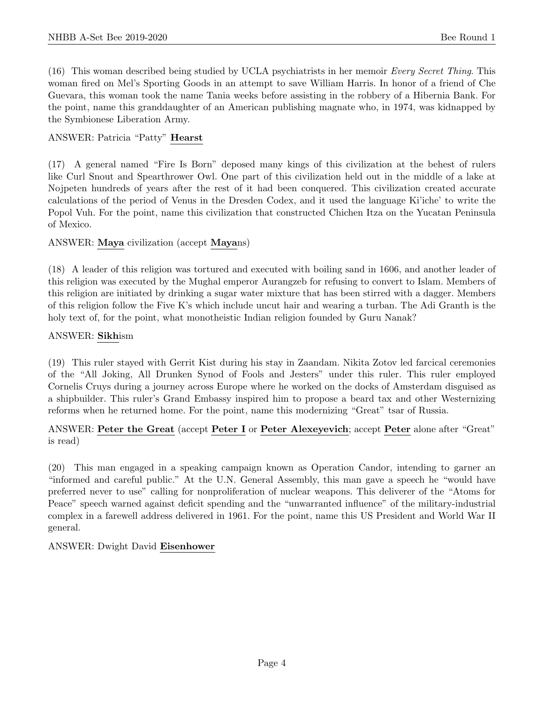(16) This woman described being studied by UCLA psychiatrists in her memoir Every Secret Thing. This woman fired on Mel's Sporting Goods in an attempt to save William Harris. In honor of a friend of Che Guevara, this woman took the name Tania weeks before assisting in the robbery of a Hibernia Bank. For the point, name this granddaughter of an American publishing magnate who, in 1974, was kidnapped by the Symbionese Liberation Army.

#### ANSWER: Patricia "Patty" Hearst

(17) A general named "Fire Is Born" deposed many kings of this civilization at the behest of rulers like Curl Snout and Spearthrower Owl. One part of this civilization held out in the middle of a lake at Nojpeten hundreds of years after the rest of it had been conquered. This civilization created accurate calculations of the period of Venus in the Dresden Codex, and it used the language Ki'iche' to write the Popol Vuh. For the point, name this civilization that constructed Chichen Itza on the Yucatan Peninsula of Mexico.

#### ANSWER: Maya civilization (accept Mayans)

(18) A leader of this religion was tortured and executed with boiling sand in 1606, and another leader of this religion was executed by the Mughal emperor Aurangzeb for refusing to convert to Islam. Members of this religion are initiated by drinking a sugar water mixture that has been stirred with a dagger. Members of this religion follow the Five K's which include uncut hair and wearing a turban. The Adi Granth is the holy text of, for the point, what monotheistic Indian religion founded by Guru Nanak?

#### ANSWER: Sikhism

(19) This ruler stayed with Gerrit Kist during his stay in Zaandam. Nikita Zotov led farcical ceremonies of the "All Joking, All Drunken Synod of Fools and Jesters" under this ruler. This ruler employed Cornelis Cruys during a journey across Europe where he worked on the docks of Amsterdam disguised as a shipbuilder. This ruler's Grand Embassy inspired him to propose a beard tax and other Westernizing reforms when he returned home. For the point, name this modernizing "Great" tsar of Russia.

#### ANSWER: Peter the Great (accept Peter I or Peter Alexeyevich; accept Peter alone after "Great" is read)

(20) This man engaged in a speaking campaign known as Operation Candor, intending to garner an "informed and careful public." At the U.N. General Assembly, this man gave a speech he "would have preferred never to use" calling for nonproliferation of nuclear weapons. This deliverer of the "Atoms for Peace" speech warned against deficit spending and the "unwarranted influence" of the military-industrial complex in a farewell address delivered in 1961. For the point, name this US President and World War II general.

#### ANSWER: Dwight David Eisenhower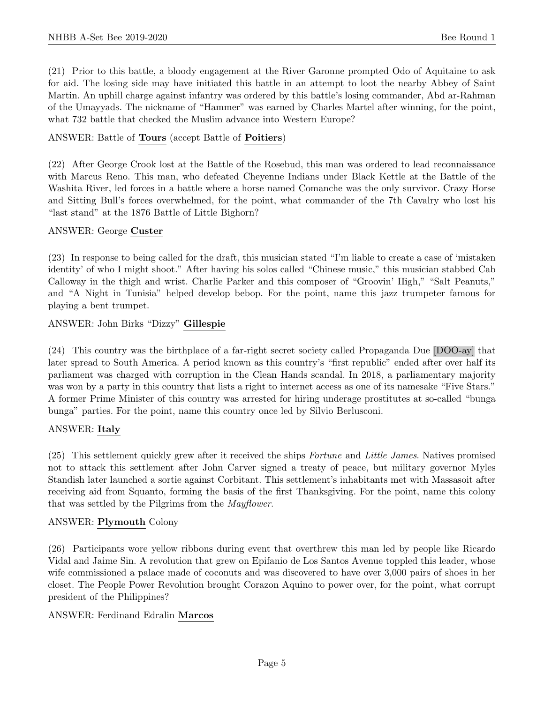(21) Prior to this battle, a bloody engagement at the River Garonne prompted Odo of Aquitaine to ask for aid. The losing side may have initiated this battle in an attempt to loot the nearby Abbey of Saint Martin. An uphill charge against infantry was ordered by this battle's losing commander, Abd ar-Rahman of the Umayyads. The nickname of "Hammer" was earned by Charles Martel after winning, for the point, what 732 battle that checked the Muslim advance into Western Europe?

#### ANSWER: Battle of Tours (accept Battle of Poitiers)

(22) After George Crook lost at the Battle of the Rosebud, this man was ordered to lead reconnaissance with Marcus Reno. This man, who defeated Cheyenne Indians under Black Kettle at the Battle of the Washita River, led forces in a battle where a horse named Comanche was the only survivor. Crazy Horse and Sitting Bull's forces overwhelmed, for the point, what commander of the 7th Cavalry who lost his "last stand" at the 1876 Battle of Little Bighorn?

#### ANSWER: George Custer

(23) In response to being called for the draft, this musician stated "I'm liable to create a case of 'mistaken identity' of who I might shoot." After having his solos called "Chinese music," this musician stabbed Cab Calloway in the thigh and wrist. Charlie Parker and this composer of "Groovin' High," "Salt Peanuts," and "A Night in Tunisia" helped develop bebop. For the point, name this jazz trumpeter famous for playing a bent trumpet.

ANSWER: John Birks "Dizzy" Gillespie

(24) This country was the birthplace of a far-right secret society called Propaganda Due [DOO-ay] that later spread to South America. A period known as this country's "first republic" ended after over half its parliament was charged with corruption in the Clean Hands scandal. In 2018, a parliamentary majority was won by a party in this country that lists a right to internet access as one of its namesake "Five Stars." A former Prime Minister of this country was arrested for hiring underage prostitutes at so-called "bunga bunga" parties. For the point, name this country once led by Silvio Berlusconi.

#### ANSWER: Italy

(25) This settlement quickly grew after it received the ships Fortune and Little James. Natives promised not to attack this settlement after John Carver signed a treaty of peace, but military governor Myles Standish later launched a sortie against Corbitant. This settlement's inhabitants met with Massasoit after receiving aid from Squanto, forming the basis of the first Thanksgiving. For the point, name this colony that was settled by the Pilgrims from the Mayflower.

#### ANSWER: Plymouth Colony

(26) Participants wore yellow ribbons during event that overthrew this man led by people like Ricardo Vidal and Jaime Sin. A revolution that grew on Epifanio de Los Santos Avenue toppled this leader, whose wife commissioned a palace made of coconuts and was discovered to have over 3,000 pairs of shoes in her closet. The People Power Revolution brought Corazon Aquino to power over, for the point, what corrupt president of the Philippines?

#### ANSWER: Ferdinand Edralin Marcos